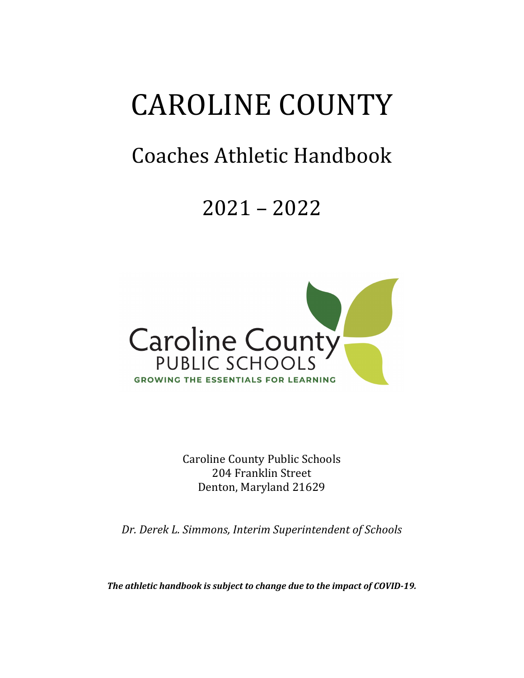# **CAROLINE COUNTY**

# Coaches Athletic Handbook

# 2021 – 2022



Caroline County Public Schools 204 Franklin Street Denton, Maryland 21629

*Dr. Derek L. Simmons, Interim Superintendent of Schools*

The athletic handbook is subject to change due to the impact of COVID-19.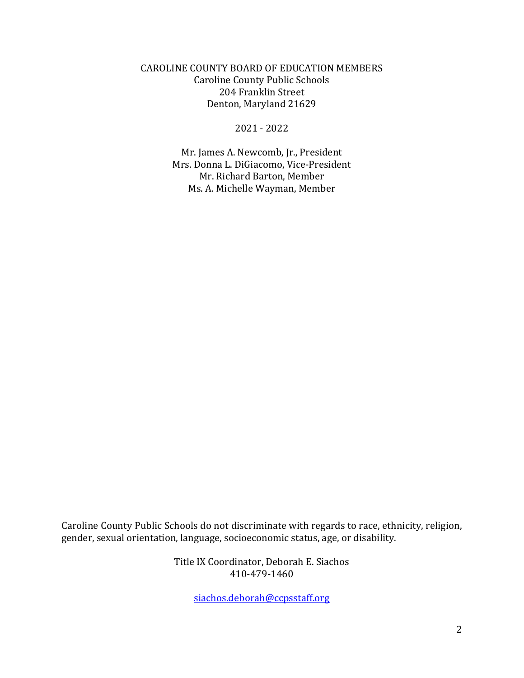CAROLINE COUNTY BOARD OF EDUCATION MEMBERS Caroline County Public Schools 204 Franklin Street Denton, Maryland 21629

2021 - 2022

Mr. James A. Newcomb, Jr., President Mrs. Donna L. DiGiacomo, Vice-President Mr. Richard Barton, Member Ms. A. Michelle Wayman, Member

Caroline County Public Schools do not discriminate with regards to race, ethnicity, religion, gender, sexual orientation, language, socioeconomic status, age, or disability.

> Title IX Coordinator, Deborah E. Siachos 410-479-1460

> > siachos.deborah@ccpsstaff.org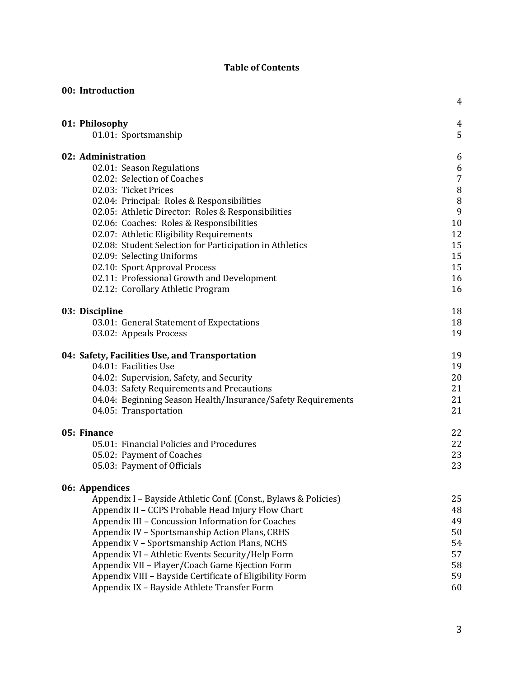#### **Table of Contents**

|  | 00: Introduction                                                |                |
|--|-----------------------------------------------------------------|----------------|
|  |                                                                 | 4              |
|  | 01: Philosophy                                                  | 4              |
|  | 01.01: Sportsmanship                                            | 5              |
|  | 02: Administration                                              | 6              |
|  | 02.01: Season Regulations                                       | 6              |
|  | 02.02: Selection of Coaches                                     | $\overline{7}$ |
|  | 02.03: Ticket Prices                                            | 8              |
|  | 02.04: Principal: Roles & Responsibilities                      | 8              |
|  | 02.05: Athletic Director: Roles & Responsibilities              | 9              |
|  | 02.06: Coaches: Roles & Responsibilities                        | 10             |
|  | 02.07: Athletic Eligibility Requirements                        | 12             |
|  | 02.08: Student Selection for Participation in Athletics         | 15             |
|  | 02.09: Selecting Uniforms                                       | 15             |
|  | 02.10: Sport Approval Process                                   | 15             |
|  | 02.11: Professional Growth and Development                      | 16             |
|  | 02.12: Corollary Athletic Program                               | 16             |
|  | 03: Discipline                                                  | 18             |
|  | 03.01: General Statement of Expectations                        | 18             |
|  | 03.02: Appeals Process                                          | 19             |
|  | 04: Safety, Facilities Use, and Transportation                  | 19             |
|  | 04.01: Facilities Use                                           | 19             |
|  | 04.02: Supervision, Safety, and Security                        | 20             |
|  | 04.03: Safety Requirements and Precautions                      | 21             |
|  | 04.04: Beginning Season Health/Insurance/Safety Requirements    | 21             |
|  | 04.05: Transportation                                           | 21             |
|  | 05: Finance                                                     | 22             |
|  | 05.01: Financial Policies and Procedures                        | 22             |
|  | 05.02: Payment of Coaches                                       | 23             |
|  | 05.03: Payment of Officials                                     | 23             |
|  | 06: Appendices                                                  |                |
|  | Appendix I - Bayside Athletic Conf. (Const., Bylaws & Policies) | 25             |
|  | Appendix II - CCPS Probable Head Injury Flow Chart              | 48             |
|  | Appendix III - Concussion Information for Coaches               | 49             |
|  | Appendix IV - Sportsmanship Action Plans, CRHS                  | 50             |
|  | Appendix V - Sportsmanship Action Plans, NCHS                   | 54             |
|  | Appendix VI - Athletic Events Security/Help Form                | 57             |
|  | Appendix VII - Player/Coach Game Ejection Form                  | 58             |
|  | Appendix VIII - Bayside Certificate of Eligibility Form         | 59             |
|  | Appendix IX - Bayside Athlete Transfer Form                     | 60             |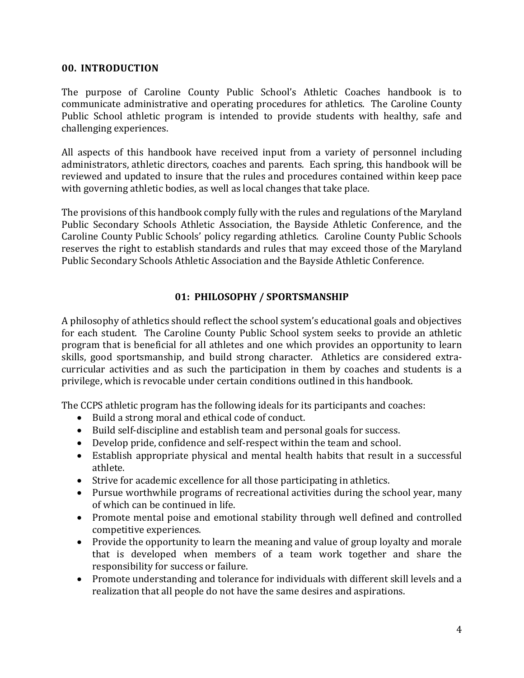#### **00. INTRODUCTION**

The purpose of Caroline County Public School's Athletic Coaches handbook is to communicate administrative and operating procedures for athletics. The Caroline County Public School athletic program is intended to provide students with healthy, safe and challenging experiences.

All aspects of this handbook have received input from a variety of personnel including administrators, athletic directors, coaches and parents. Each spring, this handbook will be reviewed and updated to insure that the rules and procedures contained within keep pace with governing athletic bodies, as well as local changes that take place.

The provisions of this handbook comply fully with the rules and regulations of the Maryland Public Secondary Schools Athletic Association, the Bayside Athletic Conference, and the Caroline County Public Schools' policy regarding athletics. Caroline County Public Schools reserves the right to establish standards and rules that may exceed those of the Maryland Public Secondary Schools Athletic Association and the Bayside Athletic Conference.

#### **01: PHILOSOPHY / SPORTSMANSHIP**

A philosophy of athletics should reflect the school system's educational goals and objectives for each student. The Caroline County Public School system seeks to provide an athletic program that is beneficial for all athletes and one which provides an opportunity to learn skills, good sportsmanship, and build strong character. Athletics are considered extracurricular activities and as such the participation in them by coaches and students is a privilege, which is revocable under certain conditions outlined in this handbook.

The CCPS athletic program has the following ideals for its participants and coaches:

- Build a strong moral and ethical code of conduct.
- Build self-discipline and establish team and personal goals for success.
- Develop pride, confidence and self-respect within the team and school.
- Establish appropriate physical and mental health habits that result in a successful athlete.
- Strive for academic excellence for all those participating in athletics.
- Pursue worthwhile programs of recreational activities during the school year, many of which can be continued in life.
- Promote mental poise and emotional stability through well defined and controlled competitive experiences.
- Provide the opportunity to learn the meaning and value of group loyalty and morale that is developed when members of a team work together and share the responsibility for success or failure.
- Promote understanding and tolerance for individuals with different skill levels and a realization that all people do not have the same desires and aspirations.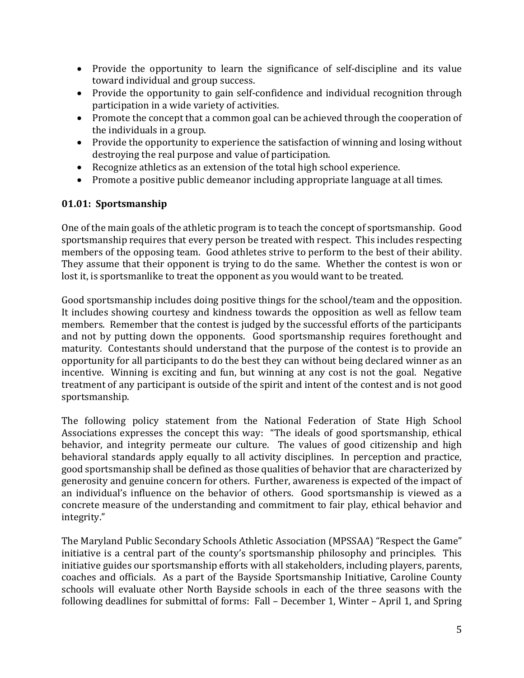- Provide the opportunity to learn the significance of self-discipline and its value toward individual and group success.
- Provide the opportunity to gain self-confidence and individual recognition through participation in a wide variety of activities.
- Promote the concept that a common goal can be achieved through the cooperation of the individuals in a group.
- Provide the opportunity to experience the satisfaction of winning and losing without destroying the real purpose and value of participation.
- Recognize athletics as an extension of the total high school experience.
- Promote a positive public demeanor including appropriate language at all times.

# **01.01: Sportsmanship**

One of the main goals of the athletic program is to teach the concept of sportsmanship. Good sportsmanship requires that every person be treated with respect. This includes respecting members of the opposing team. Good athletes strive to perform to the best of their ability. They assume that their opponent is trying to do the same. Whether the contest is won or lost it, is sportsmanlike to treat the opponent as you would want to be treated.

Good sportsmanship includes doing positive things for the school/team and the opposition. It includes showing courtesy and kindness towards the opposition as well as fellow team members. Remember that the contest is judged by the successful efforts of the participants and not by putting down the opponents. Good sportsmanship requires forethought and maturity. Contestants should understand that the purpose of the contest is to provide an opportunity for all participants to do the best they can without being declared winner as an incentive. Winning is exciting and fun, but winning at any cost is not the goal. Negative treatment of any participant is outside of the spirit and intent of the contest and is not good sportsmanship. 

The following policy statement from the National Federation of State High School Associations expresses the concept this way: "The ideals of good sportsmanship, ethical behavior, and integrity permeate our culture. The values of good citizenship and high behavioral standards apply equally to all activity disciplines. In perception and practice, good sportsmanship shall be defined as those qualities of behavior that are characterized by generosity and genuine concern for others. Further, awareness is expected of the impact of an individual's influence on the behavior of others. Good sportsmanship is viewed as a concrete measure of the understanding and commitment to fair play, ethical behavior and integrity." 

The Maryland Public Secondary Schools Athletic Association (MPSSAA) "Respect the Game" initiative is a central part of the county's sportsmanship philosophy and principles. This initiative guides our sportsmanship efforts with all stakeholders, including players, parents, coaches and officials. As a part of the Bayside Sportsmanship Initiative, Caroline County schools will evaluate other North Bayside schools in each of the three seasons with the following deadlines for submittal of forms: Fall - December 1, Winter - April 1, and Spring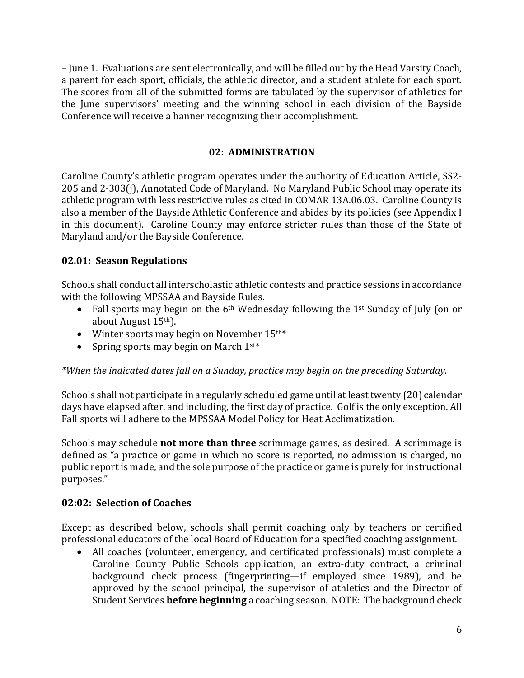– June 1. Evaluations are sent electronically, and will be filled out by the Head Varsity Coach, a parent for each sport, officials, the athletic director, and a student athlete for each sport. The scores from all of the submitted forms are tabulated by the supervisor of athletics for the June supervisors' meeting and the winning school in each division of the Bayside Conference will receive a banner recognizing their accomplishment.

#### **02: ADMINISTRATION**

Caroline County's athletic program operates under the authority of Education Article, SS2-205 and 2-303(j), Annotated Code of Maryland. No Maryland Public School may operate its athletic program with less restrictive rules as cited in COMAR 13A.06.03. Caroline County is also a member of the Bayside Athletic Conference and abides by its policies (see Appendix I in this document). Caroline County may enforce stricter rules than those of the State of Maryland and/or the Bayside Conference.

#### **02.01: Season Regulations**

Schools shall conduct all interscholastic athletic contests and practice sessions in accordance with the following MPSSAA and Bayside Rules.

- Fall sports may begin on the  $6<sup>th</sup>$  Wednesday following the 1<sup>st</sup> Sunday of July (on or about August 15<sup>th</sup>).
- Winter sports may begin on November  $15^{\text{th}*}$
- Spring sports may begin on March  $1^{st*}$

# \*When the indicated dates fall on a Sunday, practice may begin on the preceding Saturday.

Schools shall not participate in a regularly scheduled game until at least twenty (20) calendar days have elapsed after, and including, the first day of practice. Golf is the only exception. All Fall sports will adhere to the MPSSAA Model Policy for Heat Acclimatization.

Schools may schedule **not more than three** scrimmage games, as desired. A scrimmage is defined as "a practice or game in which no score is reported, no admission is charged, no public report is made, and the sole purpose of the practice or game is purely for instructional purposes."

# **02:02: Selection of Coaches**

Except as described below, schools shall permit coaching only by teachers or certified professional educators of the local Board of Education for a specified coaching assignment.

• All coaches (volunteer, emergency, and certificated professionals) must complete a Caroline County Public Schools application, an extra-duty contract, a criminal background check process (fingerprinting—if employed since 1989), and be approved by the school principal, the supervisor of athletics and the Director of Student Services **before beginning** a coaching season. NOTE: The background check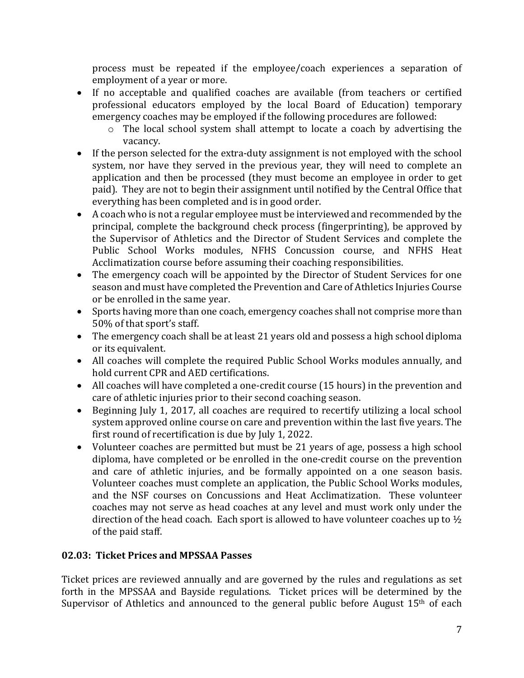process must be repeated if the employee/coach experiences a separation of employment of a year or more.

- If no acceptable and qualified coaches are available (from teachers or certified professional educators employed by the local Board of Education) temporary emergency coaches may be employed if the following procedures are followed:
	- $\circ$  The local school system shall attempt to locate a coach by advertising the vacancy.
- If the person selected for the extra-duty assignment is not employed with the school system, nor have they served in the previous year, they will need to complete an application and then be processed (they must become an employee in order to get paid). They are not to begin their assignment until notified by the Central Office that everything has been completed and is in good order.
- A coach who is not a regular employee must be interviewed and recommended by the principal, complete the background check process (fingerprinting), be approved by the Supervisor of Athletics and the Director of Student Services and complete the Public School Works modules, NFHS Concussion course, and NFHS Heat Acclimatization course before assuming their coaching responsibilities.
- The emergency coach will be appointed by the Director of Student Services for one season and must have completed the Prevention and Care of Athletics Injuries Course or be enrolled in the same year.
- Sports having more than one coach, emergency coaches shall not comprise more than 50% of that sport's staff.
- The emergency coach shall be at least 21 years old and possess a high school diploma or its equivalent.
- All coaches will complete the required Public School Works modules annually, and hold current CPR and AED certifications.
- All coaches will have completed a one-credit course (15 hours) in the prevention and care of athletic injuries prior to their second coaching season.
- Beginning July 1, 2017, all coaches are required to recertify utilizing a local school system approved online course on care and prevention within the last five years. The first round of recertification is due by July 1, 2022.
- Volunteer coaches are permitted but must be 21 years of age, possess a high school diploma, have completed or be enrolled in the one-credit course on the prevention and care of athletic injuries, and be formally appointed on a one season basis. Volunteer coaches must complete an application, the Public School Works modules, and the NSF courses on Concussions and Heat Acclimatization. These volunteer coaches may not serve as head coaches at any level and must work only under the direction of the head coach. Each sport is allowed to have volunteer coaches up to  $\frac{1}{2}$ of the paid staff.

# **02.03: Ticket Prices and MPSSAA Passes**

Ticket prices are reviewed annually and are governed by the rules and regulations as set forth in the MPSSAA and Bayside regulations. Ticket prices will be determined by the Supervisor of Athletics and announced to the general public before August  $15<sup>th</sup>$  of each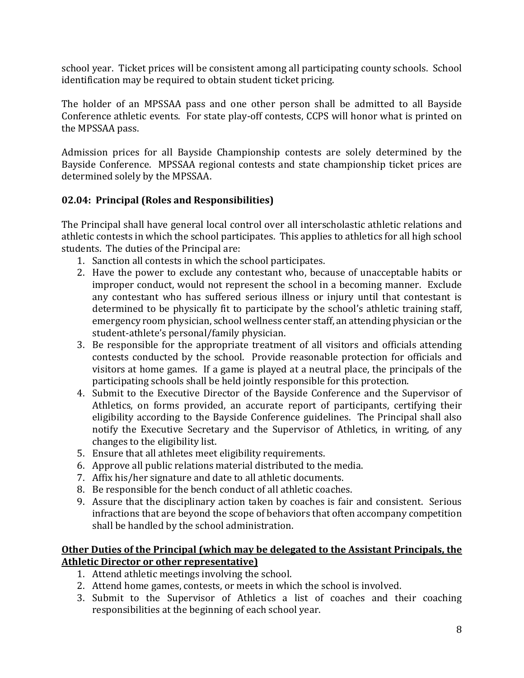school year. Ticket prices will be consistent among all participating county schools. School identification may be required to obtain student ticket pricing.

The holder of an MPSSAA pass and one other person shall be admitted to all Bayside Conference athletic events. For state play-off contests, CCPS will honor what is printed on the MPSSAA pass.

Admission prices for all Bayside Championship contests are solely determined by the Bayside Conference. MPSSAA regional contests and state championship ticket prices are determined solely by the MPSSAA.

# **02.04: Principal (Roles and Responsibilities)**

The Principal shall have general local control over all interscholastic athletic relations and athletic contests in which the school participates. This applies to athletics for all high school students. The duties of the Principal are:

- 1. Sanction all contests in which the school participates.
- 2. Have the power to exclude any contestant who, because of unacceptable habits or improper conduct, would not represent the school in a becoming manner. Exclude any contestant who has suffered serious illness or injury until that contestant is determined to be physically fit to participate by the school's athletic training staff, emergency room physician, school wellness center staff, an attending physician or the student-athlete's personal/family physician.
- 3. Be responsible for the appropriate treatment of all visitors and officials attending contests conducted by the school. Provide reasonable protection for officials and visitors at home games. If a game is played at a neutral place, the principals of the participating schools shall be held jointly responsible for this protection.
- 4. Submit to the Executive Director of the Bayside Conference and the Supervisor of Athletics, on forms provided, an accurate report of participants, certifying their eligibility according to the Bayside Conference guidelines. The Principal shall also notify the Executive Secretary and the Supervisor of Athletics, in writing, of any changes to the eligibility list.
- 5. Ensure that all athletes meet eligibility requirements.
- 6. Approve all public relations material distributed to the media.
- 7. Affix his/her signature and date to all athletic documents.
- 8. Be responsible for the bench conduct of all athletic coaches.
- 9. Assure that the disciplinary action taken by coaches is fair and consistent. Serious infractions that are beyond the scope of behaviors that often accompany competition shall be handled by the school administration.

# **Other Duties of the Principal (which may be delegated to the Assistant Principals, the Athletic Director or other representative)**

- 1. Attend athletic meetings involving the school.
- 2. Attend home games, contests, or meets in which the school is involved.
- 3. Submit to the Supervisor of Athletics a list of coaches and their coaching responsibilities at the beginning of each school year.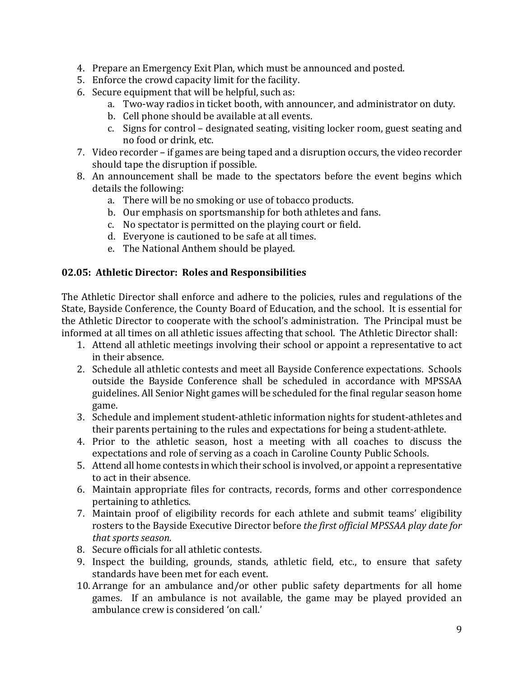- 4. Prepare an Emergency Exit Plan, which must be announced and posted.
- 5. Enforce the crowd capacity limit for the facility.
- 6. Secure equipment that will be helpful, such as:
	- a. Two-way radios in ticket booth, with announcer, and administrator on duty.
	- b. Cell phone should be available at all events.
	- c. Signs for control designated seating, visiting locker room, guest seating and no food or drink, etc.
- 7. Video recorder if games are being taped and a disruption occurs, the video recorder should tape the disruption if possible.
- 8. An announcement shall be made to the spectators before the event begins which details the following:
	- a. There will be no smoking or use of tobacco products.
	- b. Our emphasis on sportsmanship for both athletes and fans.
	- c. No spectator is permitted on the playing court or field.
	- d. Everyone is cautioned to be safe at all times.
	- e. The National Anthem should be played.

#### **02.05: Athletic Director: Roles and Responsibilities**

The Athletic Director shall enforce and adhere to the policies, rules and regulations of the State, Bayside Conference, the County Board of Education, and the school. It is essential for the Athletic Director to cooperate with the school's administration. The Principal must be informed at all times on all athletic issues affecting that school. The Athletic Director shall:

- 1. Attend all athletic meetings involving their school or appoint a representative to act in their absence.
- 2. Schedule all athletic contests and meet all Bayside Conference expectations. Schools outside the Bayside Conference shall be scheduled in accordance with MPSSAA guidelines. All Senior Night games will be scheduled for the final regular season home game.
- 3. Schedule and implement student-athletic information nights for student-athletes and their parents pertaining to the rules and expectations for being a student-athlete.
- 4. Prior to the athletic season, host a meeting with all coaches to discuss the expectations and role of serving as a coach in Caroline County Public Schools.
- 5. Attend all home contests in which their school is involved, or appoint a representative to act in their absence.
- 6. Maintain appropriate files for contracts, records, forms and other correspondence pertaining to athletics.
- 7. Maintain proof of eligibility records for each athlete and submit teams' eligibility rosters to the Bayside Executive Director before the first official MPSSAA play date for *that sports season.*
- 8. Secure officials for all athletic contests.
- 9. Inspect the building, grounds, stands, athletic field, etc., to ensure that safety standards have been met for each event.
- 10. Arrange for an ambulance and/or other public safety departments for all home games. If an ambulance is not available, the game may be played provided an ambulance crew is considered 'on call.'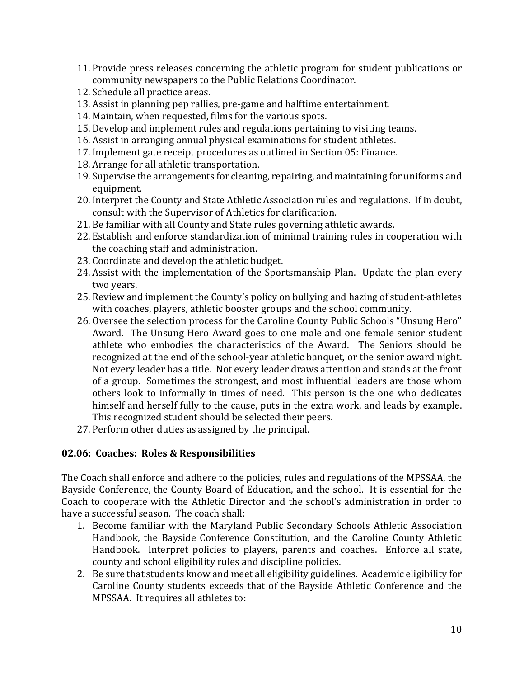- 11. Provide press releases concerning the athletic program for student publications or community newspapers to the Public Relations Coordinator.
- 12. Schedule all practice areas.
- 13. Assist in planning pep rallies, pre-game and halftime entertainment.
- 14. Maintain, when requested, films for the various spots.
- 15. Develop and implement rules and regulations pertaining to visiting teams.
- 16. Assist in arranging annual physical examinations for student athletes.
- 17. Implement gate receipt procedures as outlined in Section 05: Finance.
- 18. Arrange for all athletic transportation.
- 19. Supervise the arrangements for cleaning, repairing, and maintaining for uniforms and equipment.
- 20. Interpret the County and State Athletic Association rules and regulations. If in doubt, consult with the Supervisor of Athletics for clarification.
- 21. Be familiar with all County and State rules governing athletic awards.
- 22. Establish and enforce standardization of minimal training rules in cooperation with the coaching staff and administration.
- 23. Coordinate and develop the athletic budget.
- 24. Assist with the implementation of the Sportsmanship Plan. Update the plan every two vears.
- 25. Review and implement the County's policy on bullying and hazing of student-athletes with coaches, players, athletic booster groups and the school community.
- 26. Oversee the selection process for the Caroline County Public Schools "Unsung Hero" Award. The Unsung Hero Award goes to one male and one female senior student athlete who embodies the characteristics of the Award. The Seniors should be recognized at the end of the school-year athletic banquet, or the senior award night. Not every leader has a title. Not every leader draws attention and stands at the front of a group. Sometimes the strongest, and most influential leaders are those whom others look to informally in times of need. This person is the one who dedicates himself and herself fully to the cause, puts in the extra work, and leads by example. This recognized student should be selected their peers.
- 27. Perform other duties as assigned by the principal.

# **02.06: Coaches: Roles & Responsibilities**

The Coach shall enforce and adhere to the policies, rules and regulations of the MPSSAA, the Bayside Conference, the County Board of Education, and the school. It is essential for the Coach to cooperate with the Athletic Director and the school's administration in order to have a successful season. The coach shall:

- 1. Become familiar with the Maryland Public Secondary Schools Athletic Association Handbook, the Bayside Conference Constitution, and the Caroline County Athletic Handbook. Interpret policies to players, parents and coaches. Enforce all state, county and school eligibility rules and discipline policies.
- 2. Be sure that students know and meet all eligibility guidelines. Academic eligibility for Caroline County students exceeds that of the Bayside Athletic Conference and the MPSSAA. It requires all athletes to: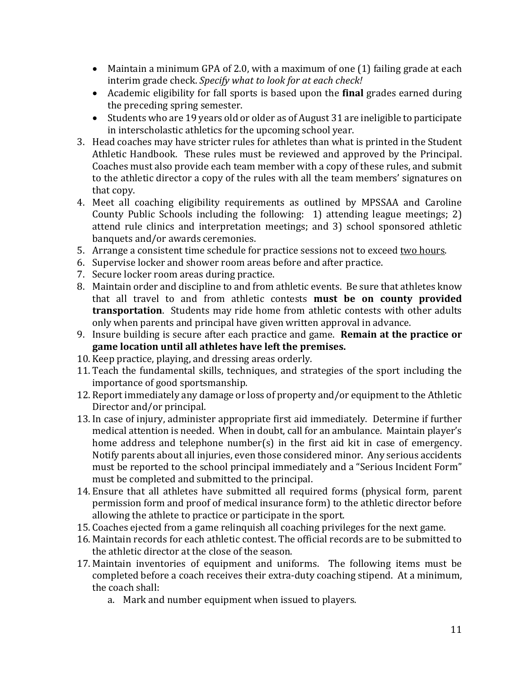- Maintain a minimum GPA of 2.0, with a maximum of one  $(1)$  failing grade at each interim grade check. *Specify* what to look for at each check!
- Academic eligibility for fall sports is based upon the **final** grades earned during the preceding spring semester.
- Students who are 19 years old or older as of August 31 are ineligible to participate in interscholastic athletics for the upcoming school year.
- 3. Head coaches may have stricter rules for athletes than what is printed in the Student Athletic Handbook. These rules must be reviewed and approved by the Principal. Coaches must also provide each team member with a copy of these rules, and submit to the athletic director a copy of the rules with all the team members' signatures on that copy.
- 4. Meet all coaching eligibility requirements as outlined by MPSSAA and Caroline County Public Schools including the following:  $1)$  attending league meetings; 2) attend rule clinics and interpretation meetings; and 3) school sponsored athletic banquets and/or awards ceremonies.
- 5. Arrange a consistent time schedule for practice sessions not to exceed two hours.
- 6. Supervise locker and shower room areas before and after practice.
- 7. Secure locker room areas during practice.
- 8. Maintain order and discipline to and from athletic events. Be sure that athletes know that all travel to and from athletic contests **must be on county provided transportation**. Students may ride home from athletic contests with other adults only when parents and principal have given written approval in advance.
- 9. Insure building is secure after each practice and game. **Remain at the practice or** game location until all athletes have left the premises.
- 10. Keep practice, playing, and dressing areas orderly.
- 11. Teach the fundamental skills, techniques, and strategies of the sport including the importance of good sportsmanship.
- 12. Report immediately any damage or loss of property and/or equipment to the Athletic Director and/or principal.
- 13. In case of injury, administer appropriate first aid immediately. Determine if further medical attention is needed. When in doubt, call for an ambulance. Maintain player's home address and telephone number(s) in the first aid kit in case of emergency. Notify parents about all injuries, even those considered minor. Any serious accidents must be reported to the school principal immediately and a "Serious Incident Form" must be completed and submitted to the principal.
- 14. Ensure that all athletes have submitted all required forms (physical form, parent permission form and proof of medical insurance form) to the athletic director before allowing the athlete to practice or participate in the sport.
- 15. Coaches ejected from a game relinquish all coaching privileges for the next game.
- 16. Maintain records for each athletic contest. The official records are to be submitted to the athletic director at the close of the season.
- 17. Maintain inventories of equipment and uniforms. The following items must be completed before a coach receives their extra-duty coaching stipend. At a minimum, the coach shall:
	- a. Mark and number equipment when issued to players.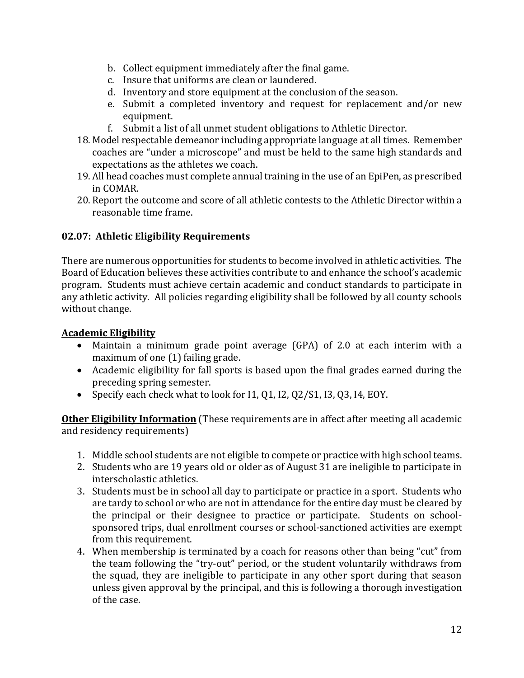- b. Collect equipment immediately after the final game.
- c. Insure that uniforms are clean or laundered.
- d. Inventory and store equipment at the conclusion of the season.
- e. Submit a completed inventory and request for replacement and/or new equipment.
- f. Submit a list of all unmet student obligations to Athletic Director.
- 18. Model respectable demeanor including appropriate language at all times. Remember coaches are "under a microscope" and must be held to the same high standards and expectations as the athletes we coach.
- 19. All head coaches must complete annual training in the use of an EpiPen, as prescribed in COMAR.
- 20. Report the outcome and score of all athletic contests to the Athletic Director within a reasonable time frame.

# **02.07: Athletic Eligibility Requirements**

There are numerous opportunities for students to become involved in athletic activities. The Board of Education believes these activities contribute to and enhance the school's academic program. Students must achieve certain academic and conduct standards to participate in any athletic activity. All policies regarding eligibility shall be followed by all county schools without change.

#### **Academic Eligibility**

- Maintain a minimum grade point average (GPA) of 2.0 at each interim with a maximum of one  $(1)$  failing grade.
- Academic eligibility for fall sports is based upon the final grades earned during the preceding spring semester.
- Specify each check what to look for I1, Q1, I2, Q2/S1, I3, Q3, I4, EOY.

**Other Eligibility Information** (These requirements are in affect after meeting all academic and residency requirements)

- 1. Middle school students are not eligible to compete or practice with high school teams.
- 2. Students who are 19 years old or older as of August 31 are ineligible to participate in interscholastic athletics.
- 3. Students must be in school all day to participate or practice in a sport. Students who are tardy to school or who are not in attendance for the entire day must be cleared by the principal or their designee to practice or participate. Students on schoolsponsored trips, dual enrollment courses or school-sanctioned activities are exempt from this requirement.
- 4. When membership is terminated by a coach for reasons other than being "cut" from the team following the "try-out" period, or the student voluntarily withdraws from the squad, they are ineligible to participate in any other sport during that season unless given approval by the principal, and this is following a thorough investigation of the case.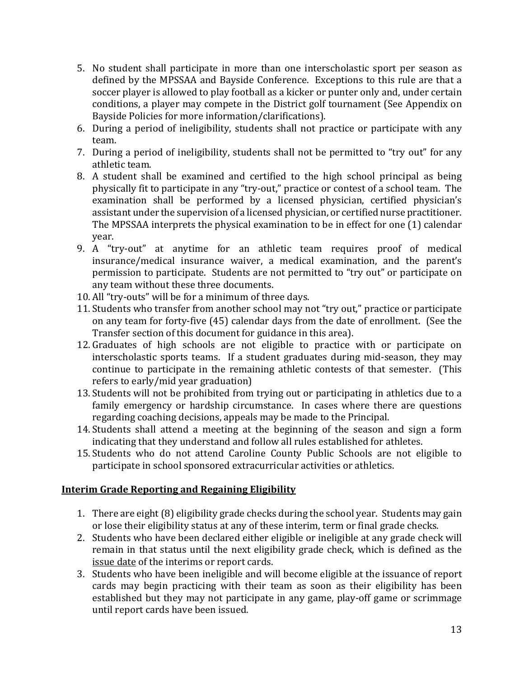- 5. No student shall participate in more than one interscholastic sport per season as defined by the MPSSAA and Bayside Conference. Exceptions to this rule are that a soccer player is allowed to play football as a kicker or punter only and, under certain conditions, a player may compete in the District golf tournament (See Appendix on Bayside Policies for more information/clarifications).
- 6. During a period of ineligibility, students shall not practice or participate with any team.
- 7. During a period of ineligibility, students shall not be permitted to "try out" for any athletic team.
- 8. A student shall be examined and certified to the high school principal as being physically fit to participate in any "try-out," practice or contest of a school team. The examination shall be performed by a licensed physician, certified physician's assistant under the supervision of a licensed physician, or certified nurse practitioner. The MPSSAA interprets the physical examination to be in effect for one  $(1)$  calendar year.
- 9. A "try-out" at anytime for an athletic team requires proof of medical insurance/medical insurance waiver, a medical examination, and the parent's permission to participate. Students are not permitted to "try out" or participate on any team without these three documents.
- 10. All "try-outs" will be for a minimum of three days.
- 11. Students who transfer from another school may not "try out," practice or participate on any team for forty-five (45) calendar days from the date of enrollment. (See the Transfer section of this document for guidance in this area).
- 12. Graduates of high schools are not eligible to practice with or participate on interscholastic sports teams. If a student graduates during mid-season, they may continue to participate in the remaining athletic contests of that semester. (This refers to early/mid year graduation)
- 13. Students will not be prohibited from trying out or participating in athletics due to a family emergency or hardship circumstance. In cases where there are questions regarding coaching decisions, appeals may be made to the Principal.
- 14. Students shall attend a meeting at the beginning of the season and sign a form indicating that they understand and follow all rules established for athletes.
- 15. Students who do not attend Caroline County Public Schools are not eligible to participate in school sponsored extracurricular activities or athletics.

# **Interim Grade Reporting and Regaining Eligibility**

- 1. There are eight (8) eligibility grade checks during the school year. Students may gain or lose their eligibility status at any of these interim, term or final grade checks.
- 2. Students who have been declared either eligible or ineligible at any grade check will remain in that status until the next eligibility grade check, which is defined as the issue date of the interims or report cards.
- 3. Students who have been ineligible and will become eligible at the issuance of report cards may begin practicing with their team as soon as their eligibility has been established but they may not participate in any game, play-off game or scrimmage until report cards have been issued.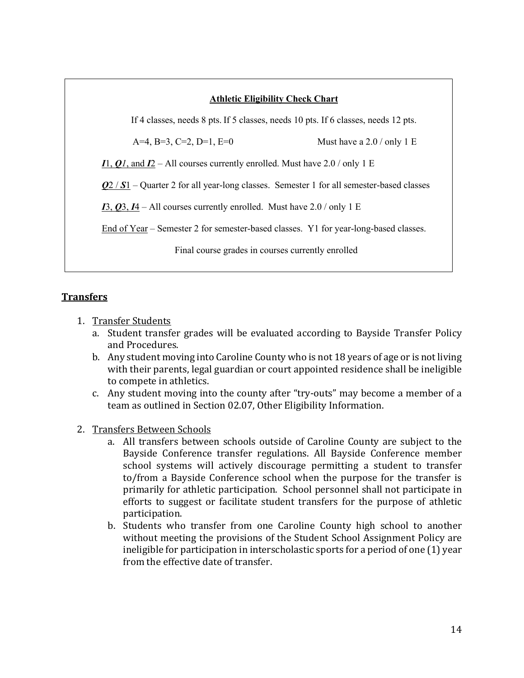#### **Athletic Eligibility Check Chart**

If 4 classes, needs 8 pts. If 5 classes, needs 10 pts. If 6 classes, needs 12 pts.

A=4, B=3, C=2, D=1, E=0 Must have a 2.0 / only 1 E

*I*<sub>1</sub>, *Q*<sub>*I*</sub>, and *I*<sub>2</sub> – A<sup>l</sup><sub>1</sub> courses currently enrolled. Must have 2.0 / only 1 E

*Q*2 / *S*1 – Quarter 2 for all year-long classes. Semester 1 for all semester-based classes

 $I3, Q3, I4$  – All courses currently enrolled. Must have 2.0 / only 1 E

End of Year – Semester 2 for semester-based classes. Y1 for year-long-based classes.

Final course grades in courses currently enrolled

#### **Transfers**

- 1. Transfer Students
	- a. Student transfer grades will be evaluated according to Bayside Transfer Policy and Procedures.
	- b. Any student moving into Caroline County who is not 18 years of age or is not living with their parents, legal guardian or court appointed residence shall be ineligible to compete in athletics.
	- c. Any student moving into the county after "try-outs" may become a member of a team as outlined in Section 02.07, Other Eligibility Information.
- 2. Transfers Between Schools
	- a. All transfers between schools outside of Caroline County are subject to the Bayside Conference transfer regulations. All Bayside Conference member school systems will actively discourage permitting a student to transfer to/from a Bayside Conference school when the purpose for the transfer is primarily for athletic participation. School personnel shall not participate in efforts to suggest or facilitate student transfers for the purpose of athletic participation.
	- b. Students who transfer from one Caroline County high school to another without meeting the provisions of the Student School Assignment Policy are ineligible for participation in interscholastic sports for a period of one  $(1)$  year from the effective date of transfer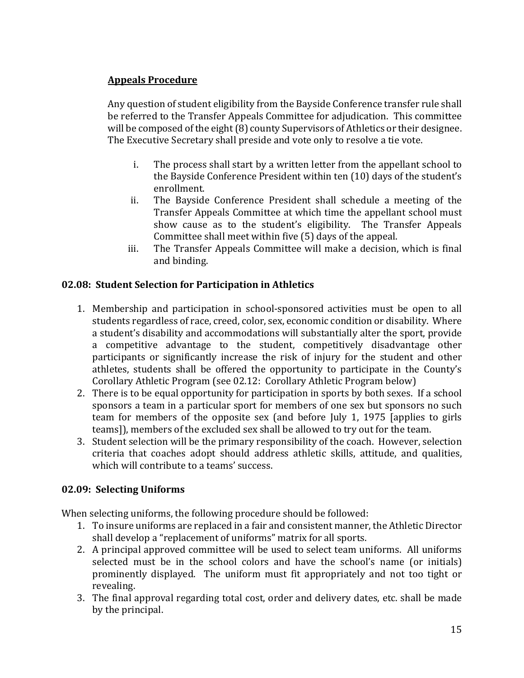# **Appeals Procedure**

Any question of student eligibility from the Bayside Conference transfer rule shall be referred to the Transfer Appeals Committee for adjudication. This committee will be composed of the eight  $(8)$  county Supervisors of Athletics or their designee. The Executive Secretary shall preside and vote only to resolve a tie vote.

- i. The process shall start by a written letter from the appellant school to the Bayside Conference President within ten (10) days of the student's enrollment.
- ii. The Bayside Conference President shall schedule a meeting of the Transfer Appeals Committee at which time the appellant school must show cause as to the student's eligibility. The Transfer Appeals Committee shall meet within five (5) days of the appeal.
- iii. The Transfer Appeals Committee will make a decision, which is final and binding.

# **02.08: Student Selection for Participation in Athletics**

- 1. Membership and participation in school-sponsored activities must be open to all students regardless of race, creed, color, sex, economic condition or disability. Where a student's disability and accommodations will substantially alter the sport, provide a competitive advantage to the student, competitively disadvantage other participants or significantly increase the risk of injury for the student and other athletes, students shall be offered the opportunity to participate in the County's Corollary Athletic Program (see 02.12: Corollary Athletic Program below)
- 2. There is to be equal opportunity for participation in sports by both sexes. If a school sponsors a team in a particular sport for members of one sex but sponsors no such team for members of the opposite sex (and before July 1, 1975 [applies to girls teams]), members of the excluded sex shall be allowed to try out for the team.
- 3. Student selection will be the primary responsibility of the coach. However, selection criteria that coaches adopt should address athletic skills, attitude, and qualities, which will contribute to a teams' success.

# **02.09: Selecting Uniforms**

When selecting uniforms, the following procedure should be followed:

- 1. To insure uniforms are replaced in a fair and consistent manner, the Athletic Director shall develop a "replacement of uniforms" matrix for all sports.
- 2. A principal approved committee will be used to select team uniforms. All uniforms selected must be in the school colors and have the school's name (or initials) prominently displayed. The uniform must fit appropriately and not too tight or revealing.
- 3. The final approval regarding total cost, order and delivery dates, etc. shall be made by the principal.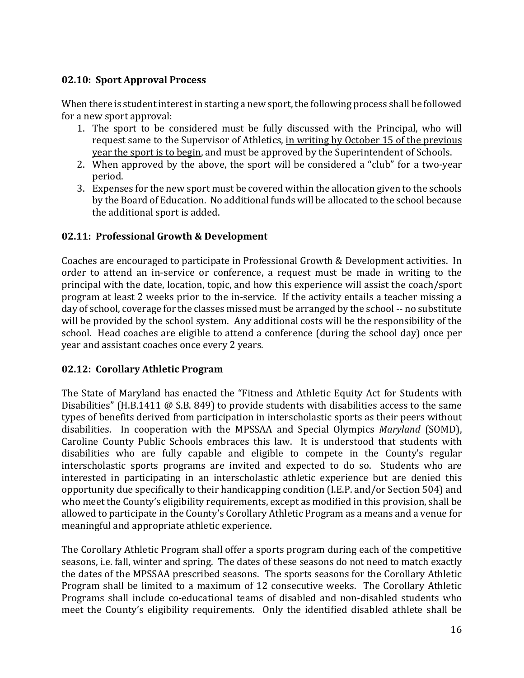# **02.10: Sport Approval Process**

When there is student interest in starting a new sport, the following process shall be followed for a new sport approval:

- 1. The sport to be considered must be fully discussed with the Principal, who will request same to the Supervisor of Athletics, in writing by October 15 of the previous year the sport is to begin, and must be approved by the Superintendent of Schools.
- 2. When approved by the above, the sport will be considered a "club" for a two-year period.
- 3. Expenses for the new sport must be covered within the allocation given to the schools by the Board of Education. No additional funds will be allocated to the school because the additional sport is added.

# **02.11: Professional Growth & Development**

Coaches are encouraged to participate in Professional Growth & Development activities. In order to attend an in-service or conference, a request must be made in writing to the principal with the date, location, topic, and how this experience will assist the coach/sport program at least 2 weeks prior to the in-service. If the activity entails a teacher missing a day of school, coverage for the classes missed must be arranged by the school -- no substitute will be provided by the school system. Any additional costs will be the responsibility of the school. Head coaches are eligible to attend a conference (during the school day) once per year and assistant coaches once every 2 years.

# **02.12: Corollary Athletic Program**

The State of Maryland has enacted the "Fitness and Athletic Equity Act for Students with Disabilities" (H.B.1411  $\omega$  S.B. 849) to provide students with disabilities access to the same types of benefits derived from participation in interscholastic sports as their peers without disabilities. In cooperation with the MPSSAA and Special Olympics *Maryland* (SOMD), Caroline County Public Schools embraces this law. It is understood that students with disabilities who are fully capable and eligible to compete in the County's regular interscholastic sports programs are invited and expected to do so. Students who are interested in participating in an interscholastic athletic experience but are denied this opportunity due specifically to their handicapping condition (I.E.P. and/or Section 504) and who meet the County's eligibility requirements, except as modified in this provision, shall be allowed to participate in the County's Corollary Athletic Program as a means and a venue for meaningful and appropriate athletic experience.

The Corollary Athletic Program shall offer a sports program during each of the competitive seasons, i.e. fall, winter and spring. The dates of these seasons do not need to match exactly the dates of the MPSSAA prescribed seasons. The sports seasons for the Corollary Athletic Program shall be limited to a maximum of 12 consecutive weeks. The Corollary Athletic Programs shall include co-educational teams of disabled and non-disabled students who meet the County's eligibility requirements. Only the identified disabled athlete shall be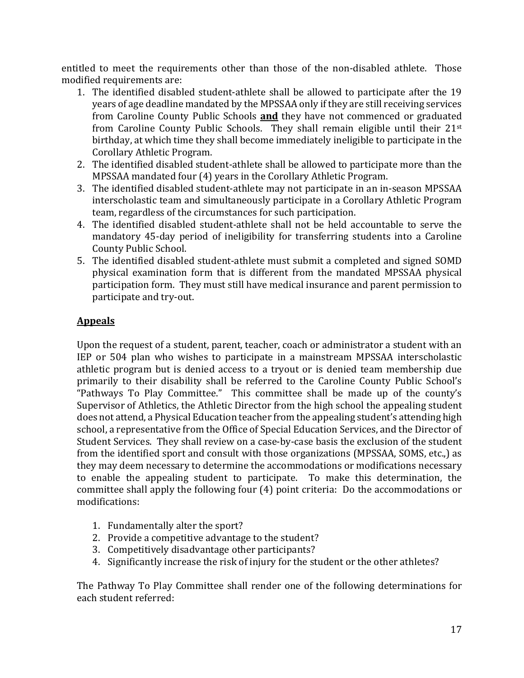entitled to meet the requirements other than those of the non-disabled athlete. Those modified requirements are:

- 1. The identified disabled student-athlete shall be allowed to participate after the 19 years of age deadline mandated by the MPSSAA only if they are still receiving services from Caroline County Public Schools **and** they have not commenced or graduated from Caroline County Public Schools. They shall remain eligible until their 21<sup>st</sup> birthday, at which time they shall become immediately ineligible to participate in the Corollary Athletic Program.
- 2. The identified disabled student-athlete shall be allowed to participate more than the MPSSAA mandated four (4) years in the Corollary Athletic Program.
- 3. The identified disabled student-athlete may not participate in an in-season MPSSAA interscholastic team and simultaneously participate in a Corollary Athletic Program team, regardless of the circumstances for such participation.
- 4. The identified disabled student-athlete shall not be held accountable to serve the mandatory 45-day period of ineligibility for transferring students into a Caroline County Public School.
- 5. The identified disabled student-athlete must submit a completed and signed SOMD physical examination form that is different from the mandated MPSSAA physical participation form. They must still have medical insurance and parent permission to participate and try-out.

# **Appeals**

Upon the request of a student, parent, teacher, coach or administrator a student with an IEP or 504 plan who wishes to participate in a mainstream MPSSAA interscholastic athletic program but is denied access to a tryout or is denied team membership due primarily to their disability shall be referred to the Caroline County Public School's "Pathways To Play Committee." This committee shall be made up of the county's Supervisor of Athletics, the Athletic Director from the high school the appealing student does not attend, a Physical Education teacher from the appealing student's attending high school, a representative from the Office of Special Education Services, and the Director of Student Services. They shall review on a case-by-case basis the exclusion of the student from the identified sport and consult with those organizations (MPSSAA, SOMS, etc.,) as they may deem necessary to determine the accommodations or modifications necessary to enable the appealing student to participate. To make this determination, the committee shall apply the following four  $(4)$  point criteria: Do the accommodations or modifications:

- 1. Fundamentally alter the sport?
- 2. Provide a competitive advantage to the student?
- 3. Competitively disadvantage other participants?
- 4. Significantly increase the risk of injury for the student or the other athletes?

The Pathway To Play Committee shall render one of the following determinations for each student referred: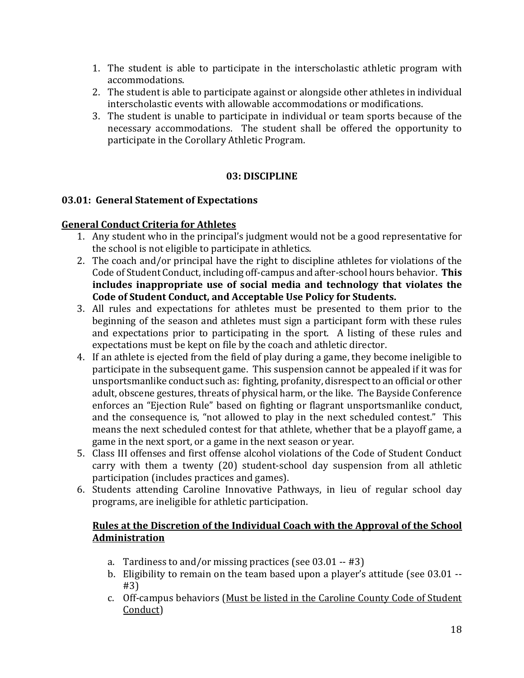- 1. The student is able to participate in the interscholastic athletic program with accommodations.
- 2. The student is able to participate against or alongside other athletes in individual interscholastic events with allowable accommodations or modifications.
- 3. The student is unable to participate in individual or team sports because of the necessary accommodations. The student shall be offered the opportunity to participate in the Corollary Athletic Program.

#### **03: DISCIPLINE**

#### **03.01: General Statement of Expectations**

#### **General Conduct Criteria for Athletes**

- 1. Any student who in the principal's judgment would not be a good representative for the school is not eligible to participate in athletics.
- 2. The coach and/or principal have the right to discipline athletes for violations of the Code of Student Conduct, including off-campus and after-school hours behavior. This includes inappropriate use of social media and technology that violates the Code of Student Conduct, and Acceptable Use Policy for Students.
- 3. All rules and expectations for athletes must be presented to them prior to the beginning of the season and athletes must sign a participant form with these rules and expectations prior to participating in the sport. A listing of these rules and expectations must be kept on file by the coach and athletic director.
- 4. If an athlete is ejected from the field of play during a game, they become ineligible to participate in the subsequent game. This suspension cannot be appealed if it was for unsportsmanlike conduct such as: fighting, profanity, disrespect to an official or other adult, obscene gestures, threats of physical harm, or the like. The Bayside Conference enforces an "Ejection Rule" based on fighting or flagrant unsportsmanlike conduct, and the consequence is, "not allowed to play in the next scheduled contest." This means the next scheduled contest for that athlete, whether that be a playoff game, a game in the next sport, or a game in the next season or year.
- 5. Class III offenses and first offense alcohol violations of the Code of Student Conduct carry with them a twenty (20) student-school day suspension from all athletic participation (includes practices and games).
- 6. Students attending Caroline Innovative Pathways, in lieu of regular school day programs, are ineligible for athletic participation.

#### Rules at the Discretion of the Individual Coach with the Approval of the School **Administration**

- a. Tardiness to and/or missing practices (see  $03.01 #3$ )
- b. Eligibility to remain on the team based upon a player's attitude (see  $03.01 -$ #3)
- c. Off-campus behaviors (Must be listed in the Caroline County Code of Student Conduct)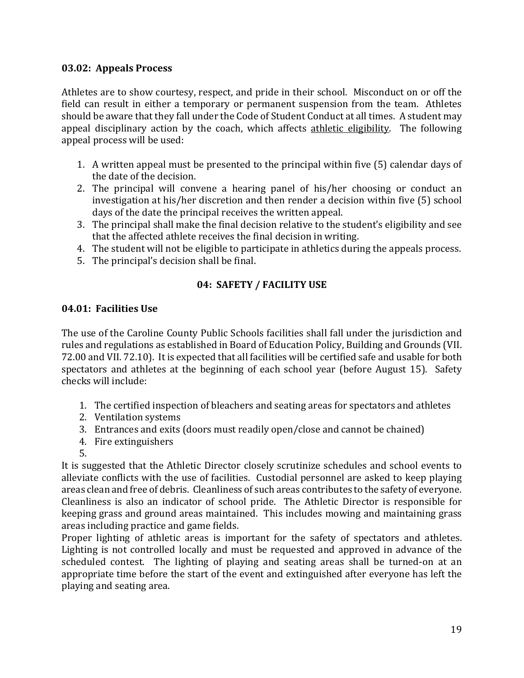#### **03.02: Appeals Process**

Athletes are to show courtesy, respect, and pride in their school. Misconduct on or off the field can result in either a temporary or permanent suspension from the team. Athletes should be aware that they fall under the Code of Student Conduct at all times. A student may appeal disciplinary action by the coach, which affects athletic eligibility. The following appeal process will be used:

- 1. A written appeal must be presented to the principal within five (5) calendar days of the date of the decision.
- 2. The principal will convene a hearing panel of his/her choosing or conduct an investigation at his/her discretion and then render a decision within five (5) school days of the date the principal receives the written appeal.
- 3. The principal shall make the final decision relative to the student's eligibility and see that the affected athlete receives the final decision in writing.
- 4. The student will not be eligible to participate in athletics during the appeals process.
- 5. The principal's decision shall be final.

# **04: SAFETY / FACILITY USE**

#### **04.01: Facilities Use**

The use of the Caroline County Public Schools facilities shall fall under the jurisdiction and rules and regulations as established in Board of Education Policy, Building and Grounds (VII. 72.00 and VII. 72.10). It is expected that all facilities will be certified safe and usable for both spectators and athletes at the beginning of each school year (before August 15). Safety checks will include:

- 1. The certified inspection of bleachers and seating areas for spectators and athletes
- 2. Ventilation systems
- 3. Entrances and exits (doors must readily open/close and cannot be chained)
- 4. Fire extinguishers
- 5.

It is suggested that the Athletic Director closely scrutinize schedules and school events to alleviate conflicts with the use of facilities. Custodial personnel are asked to keep playing areas clean and free of debris. Cleanliness of such areas contributes to the safety of everyone. Cleanliness is also an indicator of school pride. The Athletic Director is responsible for keeping grass and ground areas maintained. This includes mowing and maintaining grass areas including practice and game fields.

Proper lighting of athletic areas is important for the safety of spectators and athletes. Lighting is not controlled locally and must be requested and approved in advance of the scheduled contest. The lighting of playing and seating areas shall be turned-on at an appropriate time before the start of the event and extinguished after everyone has left the playing and seating area.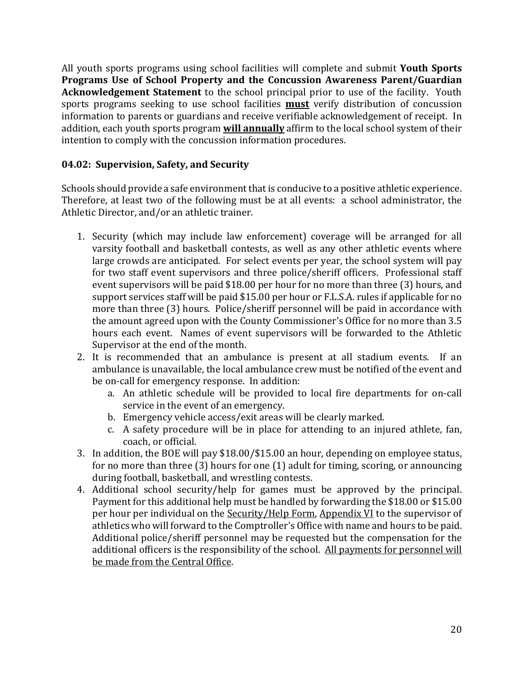All youth sports programs using school facilities will complete and submit Youth Sports Programs Use of School Property and the Concussion Awareness Parent/Guardian **Acknowledgement Statement** to the school principal prior to use of the facility. Youth sports programs seeking to use school facilities **must** verify distribution of concussion information to parents or guardians and receive verifiable acknowledgement of receipt. In addition, each youth sports program **will annually** affirm to the local school system of their intention to comply with the concussion information procedures.

# **04.02: Supervision, Safety, and Security**

Schools should provide a safe environment that is conducive to a positive athletic experience. Therefore, at least two of the following must be at all events: a school administrator, the Athletic Director, and/or an athletic trainer.

- 1. Security (which may include law enforcement) coverage will be arranged for all varsity football and basketball contests, as well as any other athletic events where large crowds are anticipated. For select events per year, the school system will pay for two staff event supervisors and three police/sheriff officers. Professional staff event supervisors will be paid \$18.00 per hour for no more than three  $(3)$  hours, and support services staff will be paid \$15.00 per hour or F.L.S.A. rules if applicable for no more than three (3) hours. Police/sheriff personnel will be paid in accordance with the amount agreed upon with the County Commissioner's Office for no more than 3.5 hours each event. Names of event supervisors will be forwarded to the Athletic Supervisor at the end of the month.
- 2. It is recommended that an ambulance is present at all stadium events. If an ambulance is unavailable, the local ambulance crew must be notified of the event and be on-call for emergency response. In addition:
	- a. An athletic schedule will be provided to local fire departments for on-call service in the event of an emergency.
	- b. Emergency vehicle access/exit areas will be clearly marked.
	- c. A safety procedure will be in place for attending to an injured athlete, fan, coach, or official.
- 3. In addition, the BOE will pay \$18.00/\$15.00 an hour, depending on employee status, for no more than three  $(3)$  hours for one  $(1)$  adult for timing, scoring, or announcing during football, basketball, and wrestling contests.
- 4. Additional school security/help for games must be approved by the principal. Payment for this additional help must be handled by forwarding the \$18.00 or \$15.00 per hour per individual on the Security/Help Form, Appendix VI to the supervisor of athletics who will forward to the Comptroller's Office with name and hours to be paid. Additional police/sheriff personnel may be requested but the compensation for the additional officers is the responsibility of the school. All payments for personnel will be made from the Central Office.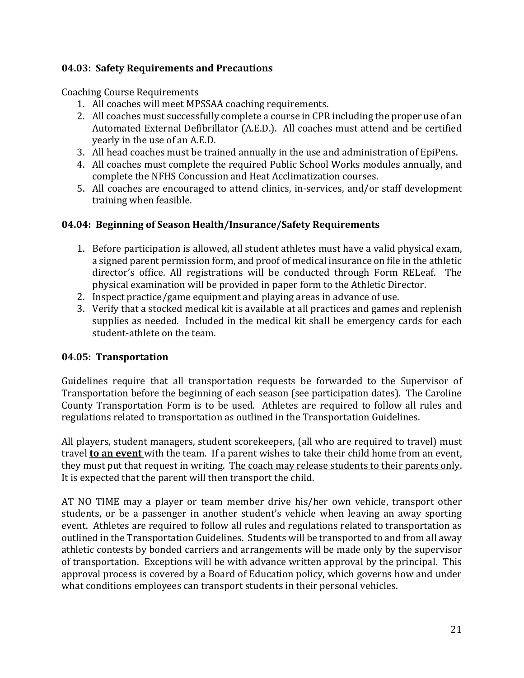#### **04.03: Safety Requirements and Precautions**

Coaching Course Requirements

- 1. All coaches will meet MPSSAA coaching requirements.
- 2. All coaches must successfully complete a course in CPR including the proper use of an Automated External Defibrillator (A.E.D.). All coaches must attend and be certified yearly in the use of an A.E.D.
- 3. All head coaches must be trained annually in the use and administration of EpiPens.
- 4. All coaches must complete the required Public School Works modules annually, and complete the NFHS Concussion and Heat Acclimatization courses.
- 5. All coaches are encouraged to attend clinics, in-services, and/or staff development training when feasible.

# **04.04: Beginning of Season Health/Insurance/Safety Requirements**

- 1. Before participation is allowed, all student athletes must have a valid physical exam, a signed parent permission form, and proof of medical insurance on file in the athletic director's office. All registrations will be conducted through Form RELeaf. The physical examination will be provided in paper form to the Athletic Director.
- 2. Inspect practice/game equipment and playing areas in advance of use.
- 3. Verify that a stocked medical kit is available at all practices and games and replenish supplies as needed. Included in the medical kit shall be emergency cards for each student-athlete on the team.

# **04.05: Transportation**

Guidelines require that all transportation requests be forwarded to the Supervisor of Transportation before the beginning of each season (see participation dates). The Caroline County Transportation Form is to be used. Athletes are required to follow all rules and regulations related to transportation as outlined in the Transportation Guidelines.

All players, student managers, student scorekeepers, (all who are required to travel) must travel **to an event** with the team. If a parent wishes to take their child home from an event, they must put that request in writing. The coach may release students to their parents only. It is expected that the parent will then transport the child.

AT NO TIME may a player or team member drive his/her own vehicle, transport other students, or be a passenger in another student's vehicle when leaving an away sporting event. Athletes are required to follow all rules and regulations related to transportation as outlined in the Transportation Guidelines. Students will be transported to and from all away athletic contests by bonded carriers and arrangements will be made only by the supervisor of transportation. Exceptions will be with advance written approval by the principal. This approval process is covered by a Board of Education policy, which governs how and under what conditions employees can transport students in their personal vehicles.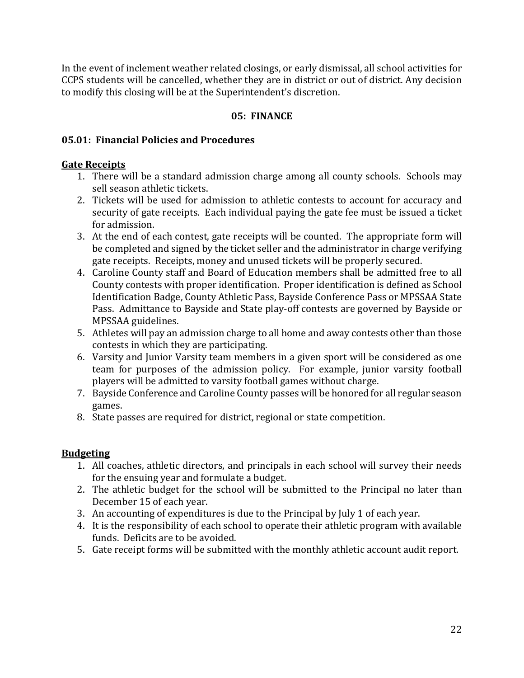In the event of inclement weather related closings, or early dismissal, all school activities for CCPS students will be cancelled, whether they are in district or out of district. Any decision to modify this closing will be at the Superintendent's discretion.

#### 05: FINANCE

#### **05.01: Financial Policies and Procedures**

#### **Gate Receipts**

- 1. There will be a standard admission charge among all county schools. Schools may sell season athletic tickets.
- 2. Tickets will be used for admission to athletic contests to account for accuracy and security of gate receipts. Each individual paying the gate fee must be issued a ticket for admission.
- 3. At the end of each contest, gate receipts will be counted. The appropriate form will be completed and signed by the ticket seller and the administrator in charge verifying gate receipts. Receipts, money and unused tickets will be properly secured.
- 4. Caroline County staff and Board of Education members shall be admitted free to all County contests with proper identification. Proper identification is defined as School Identification Badge, County Athletic Pass, Bayside Conference Pass or MPSSAA State Pass. Admittance to Bayside and State play-off contests are governed by Bayside or MPSSAA guidelines.
- 5. Athletes will pay an admission charge to all home and away contests other than those contests in which they are participating.
- 6. Varsity and Junior Varsity team members in a given sport will be considered as one team for purposes of the admission policy. For example, junior varsity football players will be admitted to varsity football games without charge.
- 7. Bayside Conference and Caroline County passes will be honored for all regular season games.
- 8. State passes are required for district, regional or state competition.

# **Budgeting**

- 1. All coaches, athletic directors, and principals in each school will survey their needs for the ensuing year and formulate a budget.
- 2. The athletic budget for the school will be submitted to the Principal no later than December 15 of each year.
- 3. An accounting of expenditures is due to the Principal by July 1 of each year.
- 4. It is the responsibility of each school to operate their athletic program with available funds. Deficits are to be avoided.
- 5. Gate receipt forms will be submitted with the monthly athletic account audit report.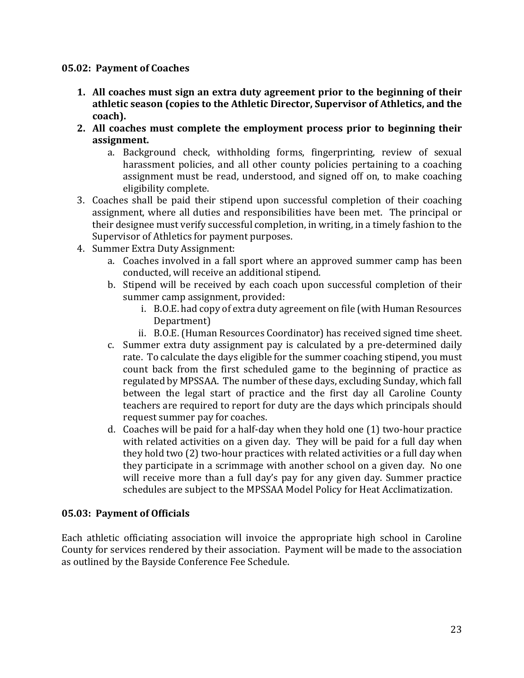#### **05.02: Payment of Coaches**

- **1.** All coaches must sign an extra duty agreement prior to the beginning of their athletic season (copies to the Athletic Director, Supervisor of Athletics, and the **coach).**
- **2.** All coaches must complete the employment process prior to beginning their **assignment.**
	- a. Background check, withholding forms, fingerprinting, review of sexual harassment policies, and all other county policies pertaining to a coaching assignment must be read, understood, and signed off on, to make coaching eligibility complete.
- 3. Coaches shall be paid their stipend upon successful completion of their coaching assignment, where all duties and responsibilities have been met. The principal or their designee must verify successful completion, in writing, in a timely fashion to the Supervisor of Athletics for payment purposes.
- 4. Summer Extra Duty Assignment:
	- a. Coaches involved in a fall sport where an approved summer camp has been conducted, will receive an additional stipend.
	- b. Stipend will be received by each coach upon successful completion of their summer camp assignment, provided:
		- i. B.O.E. had copy of extra duty agreement on file (with Human Resources Department)
		- ii. B.O.E. (Human Resources Coordinator) has received signed time sheet.
	- c. Summer extra duty assignment pay is calculated by a pre-determined daily rate. To calculate the days eligible for the summer coaching stipend, you must count back from the first scheduled game to the beginning of practice as regulated by MPSSAA. The number of these days, excluding Sunday, which fall between the legal start of practice and the first day all Caroline County teachers are required to report for duty are the days which principals should request summer pay for coaches.
	- d. Coaches will be paid for a half-day when they hold one  $(1)$  two-hour practice with related activities on a given day. They will be paid for a full day when they hold two (2) two-hour practices with related activities or a full day when they participate in a scrimmage with another school on a given day. No one will receive more than a full day's pay for any given day. Summer practice schedules are subject to the MPSSAA Model Policy for Heat Acclimatization.

#### **05.03: Payment of Officials**

Each athletic officiating association will invoice the appropriate high school in Caroline County for services rendered by their association. Payment will be made to the association as outlined by the Bayside Conference Fee Schedule.